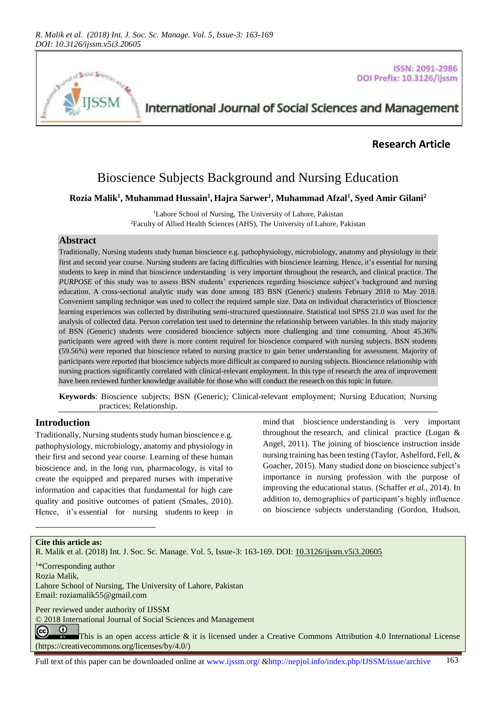

**ISSN: 2091-2986** DOI Prefix: 10.3126/ijssm

# International Journal of Social Sciences and Management

## **Research Article**

## Bioscience Subjects Background and Nursing Education

#### **Rozia Malik<sup>1</sup> , Muhammad Hussain<sup>1</sup> ,Hajra Sarwer<sup>1</sup> , Muhammad Afzal<sup>1</sup> , Syed Amir Gilani<sup>2</sup>**

<sup>1</sup>Lahore School of Nursing, The University of Lahore, Pakistan <sup>2</sup>Faculty of Allied Health Sciences (AHS), The University of Lahore, Pakistan

#### **Abstract**

Traditionally, Nursing students study human bioscience e.g. pathophysiology, microbiology, anatomy and physiology in their first and second year course. Nursing students are facing difficulties with bioscience learning. Hence, it's essential for nursing students to keep in mind that bioscience understanding is very important throughout the research, and clinical practice. The *PURPOSE* of this study was to assess BSN students' experiences regarding bioscience subject's background and nursing education. A cross-sectional analytic study was done among 183 BSN (Generic) students February 2018 to May 2018. Convenient sampling technique was used to collect the required sample size. Data on individual characteristics of Bioscience learning experiences was collected by distributing semi-structured questionnaire. Statistical tool SPSS 21.0 was used for the analysis of collected data. Person correlation test used to determine the relationship between variables. In this study majority of BSN (Generic) students were considered bioscience subjects more challenging and time consuming. About 45.36% participants were agreed with there is more content required for bioscience compared with nursing subjects. BSN students (59.56%) were reported that bioscience related to nursing practice to gain better understanding for assessment. Majority of participants were reported that bioscience subjects more difficult as compared to nursing subjects. Bioscience relationship with nursing practices significantly correlated with clinical-relevant employment. In this type of research the area of improvement have been reviewed further knowledge available for those who will conduct the research on this topic in future.

**Keywords**: Bioscience subjects; BSN (Generic); Clinical-relevant employment; Nursing Education; Nursing practices; Relationship.

## **Introduction**

Traditionally, Nursing students study human bioscience e.g. pathophysiology, microbiology, anatomy and physiology in their first and second year course. Learning of these human bioscience and, in the long run, pharmacology, is vital to create the equipped and prepared nurses with imperative information and capacities that fundamental for high care quality and positive outcomes of patient (Smales, 2010). Hence, it's essential for nursing students to keep in mind that bioscience understanding is very important throughout the research, and clinical practice (Logan & Angel, 2011). The joining of bioscience instruction inside nursing training has been testing (Taylor, Ashelford, Fell, & Goacher, 2015). Many studied done on bioscience subject's importance in nursing profession with the purpose of improving the educational status. (Schaffer *et al.*, 2014). In addition to, demographics of participant's highly influence on bioscience subjects understanding (Gordon, Hudson,

#### **Cite this article as:**

l

R. Malik et al. (2018) Int. J. Soc. Sc. Manage. Vol. 5, Issue-3: 163-169. DOI[: 10.3126/ijssm.v5i3.20605](http://dx.doi.org/10.3126/ijssm.v5i3.20605)

<sup>1</sup>\*Corresponding author Rozia Malik, Lahore School of Nursing, The University of Lahore, Pakistan Email: [roziamalik55@gmail.com](mailto:roziamalik55@gmail.com)

Peer reviewed under authority of IJSSM

© 2018 International Journal of Social Sciences and Management

 $\odot$ (cc) This is an open access article & it is licensed under a Creative Commons Attribution 4.0 International License [\(https://creativecommons.org/licenses/by/4.0/\)](https://creativecommons.org/licenses/by/4.0/)

Full text of this paper can be downloaded online at www.ijssm.org/ &http://nepjol.info/index.php/IJSSM/issue/archive 163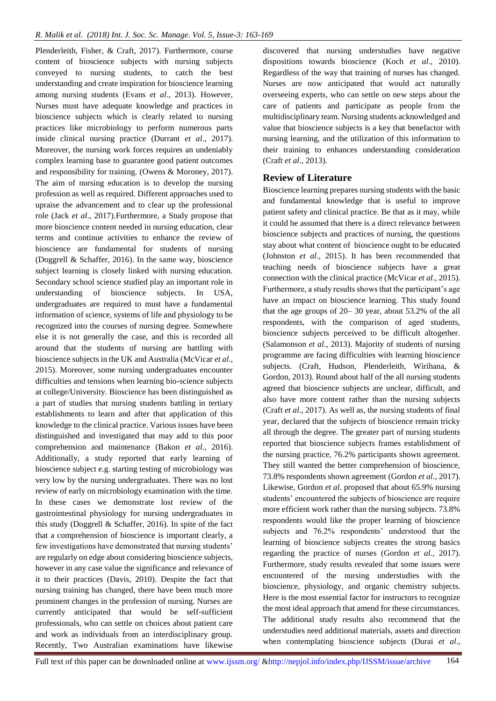Plenderleith, Fisher, & Craft, 2017). Furthermore, course content of bioscience subjects with nursing subjects conveyed to nursing students, to catch the best understanding and create inspiration for bioscience learning among nursing students (Evans *et al*., 2013). However, Nurses must have adequate knowledge and practices in bioscience subjects which is clearly related to nursing practices like microbiology to perform numerous parts inside clinical nursing practice (Durrant *et al*., 2017). Moreover, the nursing work forces requires an undeniably complex learning base to guarantee good patient outcomes and responsibility for training. (Owens & Moroney, 2017). The aim of nursing education is to develop the nursing profession as well as required. Different approaches used to upraise the advancement and to clear up the professional role (Jack *et al*., 2017).Furthermore, a Study propose that more bioscience content needed in nursing education, clear terms and continue activities to enhance the review of bioscience are fundamental for students of nursing (Doggrell & Schaffer, 2016). In the same way, bioscience subject learning is closely linked with nursing education. Secondary school science studied play an important role in understanding of bioscience subjects. In USA, undergraduates are required to must have a fundamental information of science, systems of life and physiology to be recognized into the courses of nursing degree. Somewhere else it is not generally the case, and this is recorded all around that the students of nursing are battling with bioscience subjects in the UK and Australia (McVicar *et al*., 2015). Moreover, some nursing undergraduates encounter difficulties and tensions when learning bio-science subjects at college/University. Bioscience has been distinguished as a part of studies that nursing students battling in tertiary establishments to learn and after that application of this knowledge to the clinical practice. Various issues have been distinguished and investigated that may add to this poor comprehension and maintenance (Bakon *et al.*, 2016). Additionally, a study reported that early learning of bioscience subject e.g. starting testing of microbiology was very low by the nursing undergraduates. There was no lost review of early on microbiology examination with the time. In these cases we demonstrate lost review of the gastrointestinal physiology for nursing undergraduates in this study (Doggrell & Schaffer, 2016). In spite of the fact that a comprehension of bioscience is important clearly, a few investigations have demonstrated that nursing students' are regularly on edge about considering bioscience subjects, however in any case value the significance and relevance of it to their practices (Davis, 2010). Despite the fact that nursing training has changed, there have been much more prominent changes in the profession of nursing. Nurses are currently anticipated that would be self-sufficient professionals, who can settle on choices about patient care and work as individuals from an interdisciplinary group. Recently, Two Australian examinations have likewise

discovered that nursing understudies have negative dispositions towards bioscience (Koch *et al*., 2010). Regardless of the way that training of nurses has changed. Nurses are now anticipated that would act naturally overseeing experts, who can settle on new steps about the care of patients and participate as people from the multidisciplinary team. Nursing students acknowledged and value that bioscience subjects is a key that benefactor with nursing learning, and the utilization of this information to their training to enhances understanding consideration (Craft *et al*., 2013).

#### **Review of Literature**

Bioscience learning prepares nursing students with the basic and fundamental knowledge that is useful to improve patient safety and clinical practice. Be that as it may, while it could be assumed that there is a direct relevance between bioscience subjects and practices of nursing, the questions stay about what content of bioscience ought to be educated (Johnston *et al*., 2015). It has been recommended that teaching needs of bioscience subjects have a great connection with the clinical practice (McVicar *et al*., 2015). Furthermore, a study results shows that the participant's age have an impact on bioscience learning. This study found that the age groups of 20– 30 year, about 53.2% of the all respondents, with the comparison of aged students, bioscience subjects perceived to be difficult altogether. (Salamonson *et al*., 2013). Majority of students of nursing programme are facing difficulties with learning bioscience subjects. (Craft, Hudson, Plenderleith, Wirihana, & Gordon, 2013). Round about half of the all nursing students agreed that bioscience subjects are unclear, difficult, and also have more content rather than the nursing subjects (Craft *et al*., 2017). As well as, the nursing students of final year, declared that the subjects of bioscience remain tricky all through the degree. The greater part of nursing students reported that bioscience subjects frames establishment of the nursing practice, 76.2% participants shown agreement. They still wanted the better comprehension of bioscience, 73.8% respondents shown agreement (Gordon *et al*., 2017). Likewise, Gordon *et al*. proposed that about 65.9% nursing students' encountered the subjects of bioscience are require more efficient work rather than the nursing subjects. 73.8% respondents would like the proper learning of bioscience subjects and 76.2% respondents' understood that the learning of bioscience subjects creates the strong basics regarding the practice of nurses (Gordon *et al*., 2017). Furthermore, study results revealed that some issues were encountered of the nursing understudies with the bioscience, physiology, and organic chemistry subjects. Here is the most essential factor for instructors to recognize the most ideal approach that amend for these circumstances. The additional study results also recommend that the understudies need additional materials, assets and direction when contemplating bioscience subjects (Durai *et al*.,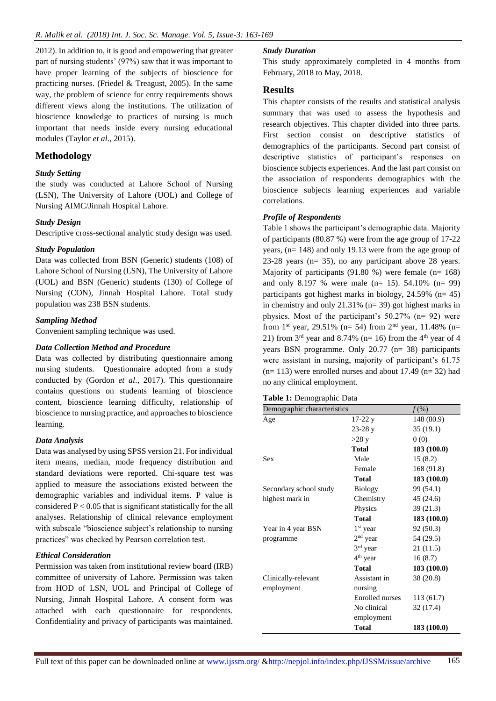2012). In addition to, it is good and empowering that greater part of nursing students' (97%) saw that it was important to have proper learning of the subjects of bioscience for practicing nurses. (Friedel & Treagust, 2005). In the same way, the problem of science for entry requirements shows different views along the institutions. The utilization of bioscience knowledge to practices of nursing is much important that needs inside every nursing educational modules (Taylor *et al*., 2015).

## **Methodology**

#### *Study Setting*

the study was conducted at Lahore School of Nursing (LSN), The University of Lahore (UOL) and College of Nursing AIMC/Jinnah Hospital Lahore.

#### *Study Design*

Descriptive cross-sectional analytic study design was used.

#### *Study Population*

Data was collected from BSN (Generic) students (108) of Lahore School of Nursing (LSN), The University of Lahore (UOL) and BSN (Generic) students (130) of College of Nursing (CON), Jinnah Hospital Lahore. Total study population was 238 BSN students.

#### *Sampling Method*

Convenient sampling technique was used.

#### *Data Collection Method and Procedure*

Data was collected by distributing questionnaire among nursing students. Questionnaire adopted from a study conducted by (Gordon *et al*., 2017). This questionnaire contains questions on students learning of bioscience content, bioscience learning difficulty, relationship of bioscience to nursing practice, and approaches to bioscience learning.

#### *Data Analysis*

Data was analysed by using SPSS version 21. For individual item means, median, mode frequency distribution and standard deviations were reported. Chi-square test was applied to measure the associations existed between the demographic variables and individual items. P value is considered  $P < 0.05$  that is significant statistically for the all analyses. Relationship of clinical relevance employment with subscale "bioscience subject's relationship to nursing practices" was checked by Pearson correlation test.

#### *Ethical Consideration*

Permission was taken from institutional review board (IRB) committee of university of Lahore. Permission was taken from HOD of LSN, UOL and Principal of College of Nursing, Jinnah Hospital Lahore. A consent form was attached with each questionnaire for respondents. Confidentiality and privacy of participants was maintained.

#### *Study Duration*

This study approximately completed in 4 months from February, 2018 to May, 2018.

#### **Results**

This chapter consists of the results and statistical analysis summary that was used to assess the hypothesis and research objectives. This chapter divided into three parts. First section consist on descriptive statistics of demographics of the participants. Second part consist of descriptive statistics of participant's responses on bioscience subjects experiences. And the last part consist on the association of respondents demographics with the bioscience subjects learning experiences and variable correlations.

#### *Profile of Respondents*

Table 1 shows the participant's demographic data. Majority of participants (80.87 %) were from the age group of 17-22 years, (n= 148) and only 19.13 were from the age group of 23-28 years (n= 35), no any participant above 28 years. Majority of participants (91.80 %) were female (n= 168) and only 8.197 % were male (n= 15). 54.10% (n= 99) participants got highest marks in biology,  $24.59\%$  (n= 45) in chemistry and only 21.31% (n= 39) got highest marks in physics. Most of the participant's 50.27% (n= 92) were from 1<sup>st</sup> year, 29.51% (n= 54) from 2<sup>nd</sup> year, 11.48% (n= 21) from  $3<sup>rd</sup>$  year and 8.74% (n= 16) from the 4<sup>th</sup> year of 4 years BSN programme. Only 20.77 (n= 38) participants were assistant in nursing, majority of participant's 61.75  $(n= 113)$  were enrolled nurses and about 17.49  $(n= 32)$  had no any clinical employment.

|  |  | Table 1: Demographic Data |  |
|--|--|---------------------------|--|
|--|--|---------------------------|--|

| Demographic characteristics |                      | $f(\%)$     |
|-----------------------------|----------------------|-------------|
| Age                         | $17-22y$             | 148 (80.9)  |
|                             | $23-28y$             | 35(19.1)    |
|                             | $>28$ y              | 0(0)        |
|                             | Total                | 183 (100.0) |
| <b>Sex</b>                  | Male                 | 15(8.2)     |
|                             | Female               | 168 (91.8)  |
|                             | Total                | 183 (100.0) |
| Secondary school study      | <b>Biology</b>       | 99 (54.1)   |
| highest mark in             | Chemistry            | 45 (24.6)   |
|                             | Physics              | 39(21.3)    |
|                             | Total                | 183(100.0)  |
| Year in 4 year BSN          | $1st$ year           | 92 (50.3)   |
| programme                   | $2nd$ year           | 54 (29.5)   |
|                             | 3 <sup>rd</sup> year | 21(11.5)    |
|                             | 4 <sup>th</sup> year | 16(8.7)     |
|                             | Total                | 183(100.0)  |
| Clinically-relevant         | Assistant in         | 38 (20.8)   |
| employment                  | nursing              |             |
|                             | Enrolled nurses      | 113(61.7)   |
|                             | No clinical          | 32 (17.4)   |
|                             | employment           |             |
|                             | <b>Total</b>         | 183 (100.0) |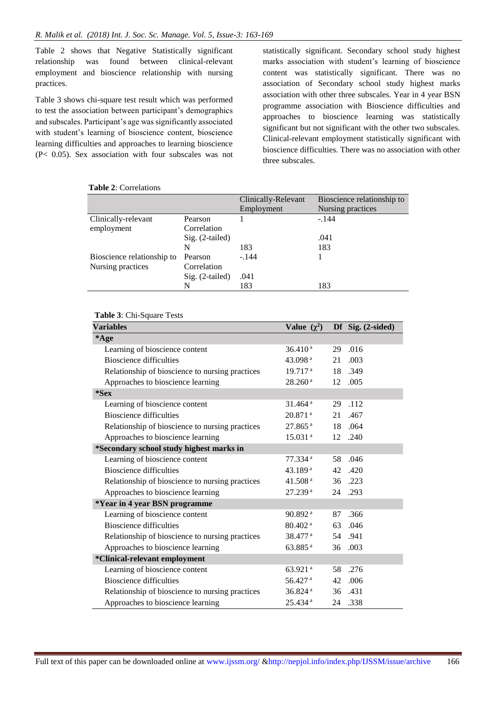Table 2 shows that Negative Statistically significant relationship was found between clinical-relevant employment and bioscience relationship with nursing practices.

Table 3 shows chi-square test result which was performed to test the association between participant's demographics and subscales. Participant's age was significantly associated with student's learning of bioscience content, bioscience learning difficulties and approaches to learning bioscience (P< 0.05). Sex association with four subscales was not statistically significant. Secondary school study highest marks association with student's learning of bioscience content was statistically significant. There was no association of Secondary school study highest marks association with other three subscales. Year in 4 year BSN programme association with Bioscience difficulties and approaches to bioscience learning was statistically significant but not significant with the other two subscales. Clinical-relevant employment statistically significant with bioscience difficulties. There was no association with other three subscales.

#### **Table 2**: Correlations

|                 | Clinically-Relevant | Bioscience relationship to |
|-----------------|---------------------|----------------------------|
|                 | Employment          | Nursing practices          |
| Pearson         |                     | $-.144$                    |
| Correlation     |                     |                            |
| Sig. (2-tailed) |                     | .041                       |
| N               | 183                 | 183                        |
| Pearson         | $-.144$             |                            |
| Correlation     |                     |                            |
| Sig. (2-tailed) | .041                |                            |
| N               | 183                 | 183                        |
|                 |                     |                            |

#### **Table 3**: Chi-Square Tests

| <b>Variables</b>                                | Value $(\chi^2)$      |    | Df Sig. (2-sided) |
|-------------------------------------------------|-----------------------|----|-------------------|
| *Age                                            |                       |    |                   |
| Learning of bioscience content                  | 36.410 <sup>a</sup>   | 29 | .016              |
| <b>Bioscience difficulties</b>                  | 43.098 $a$            | 21 | .003              |
| Relationship of bioscience to nursing practices | 19.717 <sup>a</sup>   |    | 18 .349           |
| Approaches to bioscience learning               | 28.260 <sup>a</sup>   | 12 | .005              |
| $*$ Sex                                         |                       |    |                   |
| Learning of bioscience content                  | $31.464$ <sup>a</sup> | 29 | .112              |
| <b>Bioscience difficulties</b>                  | $20.871$ <sup>a</sup> | 21 | .467              |
| Relationship of bioscience to nursing practices | $27.865$ <sup>a</sup> | 18 | .064              |
| Approaches to bioscience learning               | 15.031 <sup>a</sup>   | 12 | .240              |
| *Secondary school study highest marks in        |                       |    |                   |
| Learning of bioscience content                  | $77.334$ <sup>a</sup> | 58 | .046              |
| <b>Bioscience difficulties</b>                  | 43.189ª               | 42 | .420              |
| Relationship of bioscience to nursing practices | 41.508 $a$            |    | 36 .223           |
| Approaches to bioscience learning               | 27.239 <sup>a</sup>   | 24 | .293              |
| *Year in 4 year BSN programme                   |                       |    |                   |
| Learning of bioscience content                  | 90.892 <sup>a</sup>   | 87 | .366              |
| <b>Bioscience difficulties</b>                  | $80.402$ <sup>a</sup> | 63 | .046              |
| Relationship of bioscience to nursing practices | $38.477$ <sup>a</sup> |    | 54 .941           |
| Approaches to bioscience learning               | 63.885 <sup>a</sup>   | 36 | .003              |
| *Clinical-relevant employment                   |                       |    |                   |
| Learning of bioscience content                  | 63.921 $a$            | 58 | .276              |
| <b>Bioscience difficulties</b>                  | 56.427 a              | 42 | .006              |
| Relationship of bioscience to nursing practices | $36.824$ <sup>a</sup> | 36 | .431              |
| Approaches to bioscience learning               | 25.434 <sup>a</sup>   | 24 | .338              |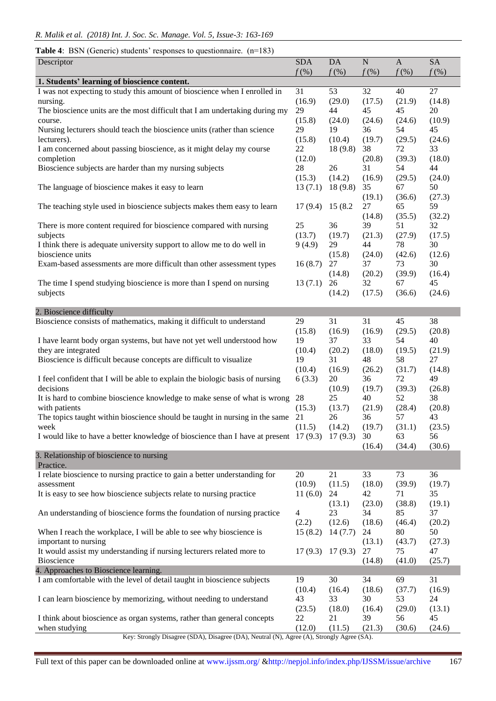## **Table 4**: BSN (Generic) students' responses to questionnaire. (n=183)

| Descriptor                                                                                     | <b>SDA</b>              | <b>DA</b>         | $\mathbf N$  | $\mathbf{A}$ | <b>SA</b>    |
|------------------------------------------------------------------------------------------------|-------------------------|-------------------|--------------|--------------|--------------|
|                                                                                                | $f$ (%)                 | $f$ (%)           | $f$ (%)      | $f$ (%)      | $f$ (%)      |
| 1. Students' learning of bioscience content.                                                   |                         |                   |              |              |              |
| I was not expecting to study this amount of bioscience when I enrolled in                      | 31                      | 53                | 32           | 40           | 27           |
| nursing.                                                                                       | (16.9)                  | (29.0)<br>44      | (17.5)       | (21.9)       | (14.8)       |
| The bioscience units are the most difficult that I am undertaking during my                    | 29<br>(15.8)            |                   | 45<br>(24.6) | 45<br>(24.6) | 20<br>(10.9) |
| course.<br>Nursing lecturers should teach the bioscience units (rather than science            | 29                      | (24.0)<br>19      | 36           | 54           | 45           |
| lecturers).                                                                                    | (15.8)                  | (10.4)            | (19.7)       | (29.5)       | (24.6)       |
| I am concerned about passing bioscience, as it might delay my course                           | 22                      | 18(9.8)           | 38           | 72           | 33           |
| completion                                                                                     | (12.0)                  |                   | (20.8)       | (39.3)       | (18.0)       |
| Bioscience subjects are harder than my nursing subjects                                        | 28                      | 26                | 31           | 54           | 44           |
|                                                                                                | (15.3)                  | (14.2)            | (16.9)       | (29.5)       | (24.0)       |
| The language of bioscience makes it easy to learn                                              | 13(7.1)                 | 18(9.8)           | 35           | 67           | 50           |
|                                                                                                |                         |                   | (19.1)       | (36.6)       | (27.3)       |
| The teaching style used in bioscience subjects makes them easy to learn                        | 17(9.4)                 | 15 (8.2)          | 27           | 65           | 59           |
|                                                                                                |                         |                   | (14.8)       | (35.5)       | (32.2)       |
| There is more content required for bioscience compared with nursing                            | 25                      | 36                | 39           | 51           | 32           |
| subjects                                                                                       | (13.7)                  | (19.7)            | (21.3)       | (27.9)       | (17.5)       |
| I think there is adequate university support to allow me to do well in                         | 9(4.9)                  | 29                | 44           | 78           | 30           |
| bioscience units                                                                               |                         | (15.8)            | (24.0)       | (42.6)       | (12.6)       |
| Exam-based assessments are more difficult than other assessment types                          | 16(8.7)                 | 27                | 37           | 73           | 30           |
|                                                                                                |                         | (14.8)            | (20.2)       | (39.9)       | (16.4)       |
| The time I spend studying bioscience is more than I spend on nursing                           | 13(7.1)                 | 26                | 32           | 67           | 45           |
| subjects                                                                                       |                         | (14.2)            | (17.5)       | (36.6)       | (24.6)       |
|                                                                                                |                         |                   |              |              |              |
| 2. Bioscience difficulty                                                                       |                         |                   |              |              |              |
| Bioscience consists of mathematics, making it difficult to understand                          | 29                      | 31                | 31           | 45           | 38           |
| I have learnt body organ systems, but have not yet well understood how                         | (15.8)<br>19            | (16.9)<br>37      | (16.9)<br>33 | (29.5)<br>54 | (20.8)<br>40 |
| they are integrated                                                                            | (10.4)                  | (20.2)            | (18.0)       | (19.5)       | (21.9)       |
| Bioscience is difficult because concepts are difficult to visualize                            | 19                      | 31                | 48           | 58           | 27           |
|                                                                                                | (10.4)                  | (16.9)            | (26.2)       | (31.7)       | (14.8)       |
| I feel confident that I will be able to explain the biologic basis of nursing                  | 6(3.3)                  | 20                | 36           | 72           | 49           |
| decisions                                                                                      |                         | (10.9)            | (19.7)       | (39.3)       | (26.8)       |
| It is hard to combine bioscience knowledge to make sense of what is wrong                      | 28                      | 25                | 40           | 52           | 38           |
| with patients                                                                                  | (15.3)                  | (13.7)            | (21.9)       | (28.4)       | (20.8)       |
| The topics taught within bioscience should be taught in nursing in the same                    | 21                      | 26                | 36           | 57           | 43           |
| week                                                                                           | (11.5)                  | (14.2)            | (19.7)       | (31.1)       | (23.5)       |
| I would like to have a better knowledge of bioscience than I have at present 17 (9.3) 17 (9.3) |                         |                   | 30           | 63           | 56           |
|                                                                                                |                         |                   | (16.4)       | (34.4)       | (30.6)       |
| 3. Relationship of bioscience to nursing                                                       |                         |                   |              |              |              |
| Practice.                                                                                      |                         |                   |              |              |              |
| I relate bioscience to nursing practice to gain a better understanding for                     | 20                      | 21                | 33           | 73           | 36           |
| assessment                                                                                     | (10.9)                  | (11.5)            | (18.0)       | (39.9)       | (19.7)       |
| It is easy to see how bioscience subjects relate to nursing practice                           | 11(6.0)                 | 24                | 42           | 71           | 35           |
|                                                                                                |                         | (13.1)            | (23.0)       | (38.8)       | (19.1)       |
| An understanding of bioscience forms the foundation of nursing practice                        | $\overline{4}$<br>(2.2) | 23                | 34<br>(18.6) | 85           | 37<br>(20.2) |
| When I reach the workplace, I will be able to see why bioscience is                            | 15(8.2)                 | (12.6)<br>14(7.7) | 24           | (46.4)<br>80 | 50           |
| important to nursing                                                                           |                         |                   | (13.1)       | (43.7)       | (27.3)       |
| It would assist my understanding if nursing lecturers related more to                          | 17(9.3)                 | 17(9.3)           | 27           | 75           | 47           |
| Bioscience                                                                                     |                         |                   | (14.8)       | (41.0)       | (25.7)       |
| 4. Approaches to Bioscience learning.                                                          |                         |                   |              |              |              |
| I am comfortable with the level of detail taught in bioscience subjects                        | 19                      | 30                | 34           | 69           | 31           |
|                                                                                                | (10.4)                  | (16.4)            | (18.6)       | (37.7)       | (16.9)       |
| I can learn bioscience by memorizing, without needing to understand                            | 43                      | 33                | 30           | 53           | 24           |
|                                                                                                | (23.5)                  | (18.0)            | (16.4)       | (29.0)       | (13.1)       |
| I think about bioscience as organ systems, rather than general concepts                        | 22                      | 21                | 39           | 56           | 45           |
| when studying                                                                                  | (12.0)                  | (11.5)            | (21.3)       | (30.6)       | (24.6)       |
| Key: Strongly Disagree (SDA), Disagree (DA), Neutral (N), Agree (A), Strongly Agree (SA).      |                         |                   |              |              |              |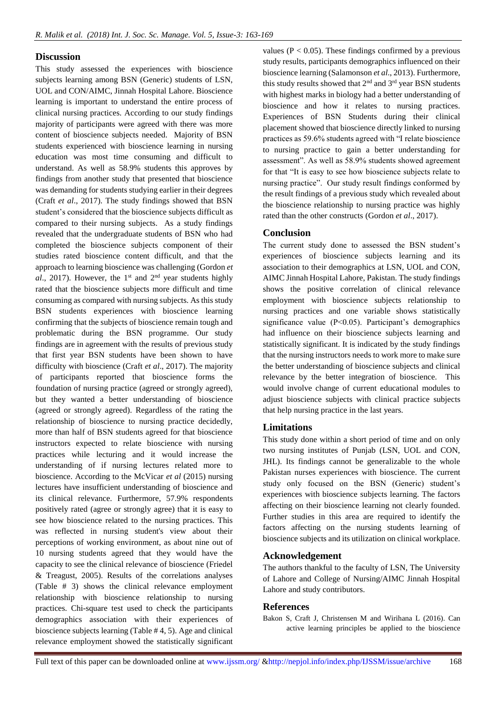## **Discussion**

This study assessed the experiences with bioscience subjects learning among BSN (Generic) students of LSN, UOL and CON/AIMC, Jinnah Hospital Lahore. Bioscience learning is important to understand the entire process of clinical nursing practices. According to our study findings majority of participants were agreed with there was more content of bioscience subjects needed. Majority of BSN students experienced with bioscience learning in nursing education was most time consuming and difficult to understand. As well as 58.9% students this approves by findings from another study that presented that bioscience was demanding for students studying earlier in their degrees (Craft *et al*., 2017). The study findings showed that BSN student's considered that the bioscience subjects difficult as compared to their nursing subjects. As a study findings revealed that the undergraduate students of BSN who had completed the bioscience subjects component of their studies rated bioscience content difficult, and that the approach to learning bioscience was challenging (Gordon *et al.*, 2017). However, the 1<sup>st</sup> and  $2<sup>nd</sup>$  year students highly rated that the bioscience subjects more difficult and time consuming as compared with nursing subjects. As this study BSN students experiences with bioscience learning confirming that the subjects of bioscience remain tough and problematic during the BSN programme. Our study findings are in agreement with the results of previous study that first year BSN students have been shown to have difficulty with bioscience (Craft *et al*., 2017). The majority of participants reported that bioscience forms the foundation of nursing practice (agreed or strongly agreed), but they wanted a better understanding of bioscience (agreed or strongly agreed). Regardless of the rating the relationship of bioscience to nursing practice decidedly, more than half of BSN students agreed for that bioscience instructors expected to relate bioscience with nursing practices while lecturing and it would increase the understanding of if nursing lectures related more to bioscience. According to the McVicar *et al* (2015) nursing lectures have insufficient understanding of bioscience and its clinical relevance. Furthermore, 57.9% respondents positively rated (agree or strongly agree) that it is easy to see how bioscience related to the nursing practices. This was reflected in nursing student's view about their perceptions of working environment, as about nine out of 10 nursing students agreed that they would have the capacity to see the clinical relevance of bioscience (Friedel & Treagust, 2005). Results of the correlations analyses (Table # 3) shows the clinical relevance employment relationship with bioscience relationship to nursing practices. Chi-square test used to check the participants demographics association with their experiences of bioscience subjects learning (Table # 4, 5). Age and clinical relevance employment showed the statistically significant

values ( $P < 0.05$ ). These findings confirmed by a previous study results, participants demographics influenced on their bioscience learning (Salamonson *et al*., 2013). Furthermore, this study results showed that  $2<sup>nd</sup>$  and  $3<sup>rd</sup>$  year BSN students with highest marks in biology had a better understanding of bioscience and how it relates to nursing practices. Experiences of BSN Students during their clinical placement showed that bioscience directly linked to nursing practices as 59.6% students agreed with "I relate bioscience to nursing practice to gain a better understanding for assessment". As well as 58.9% students showed agreement for that "It is easy to see how bioscience subjects relate to nursing practice". Our study result findings conformed by the result findings of a previous study which revealed about the bioscience relationship to nursing practice was highly rated than the other constructs (Gordon *et al*., 2017).

## **Conclusion**

The current study done to assessed the BSN student's experiences of bioscience subjects learning and its association to their demographics at LSN, UOL and CON, AIMC Jinnah Hospital Lahore, Pakistan. The study findings shows the positive correlation of clinical relevance employment with bioscience subjects relationship to nursing practices and one variable shows statistically significance value (P<0.05). Participant's demographics had influence on their bioscience subjects learning and statistically significant. It is indicated by the study findings that the nursing instructors needs to work more to make sure the better understanding of bioscience subjects and clinical relevance by the better integration of bioscience. This would involve change of current educational modules to adjust bioscience subjects with clinical practice subjects that help nursing practice in the last years.

## **Limitations**

This study done within a short period of time and on only two nursing institutes of Punjab (LSN, UOL and CON, JHL). Its findings cannot be generalizable to the whole Pakistan nurses experiences with bioscience. The current study only focused on the BSN (Generic) student's experiences with bioscience subjects learning. The factors affecting on their bioscience learning not clearly founded. Further studies in this area are required to identify the factors affecting on the nursing students learning of bioscience subjects and its utilization on clinical workplace.

## **Acknowledgement**

The authors thankful to the faculty of LSN, The University of Lahore and College of Nursing/AIMC Jinnah Hospital Lahore and study contributors.

## **References**

Bakon S, Craft J, Christensen M and Wirihana L (2016). Can active learning principles be applied to the bioscience